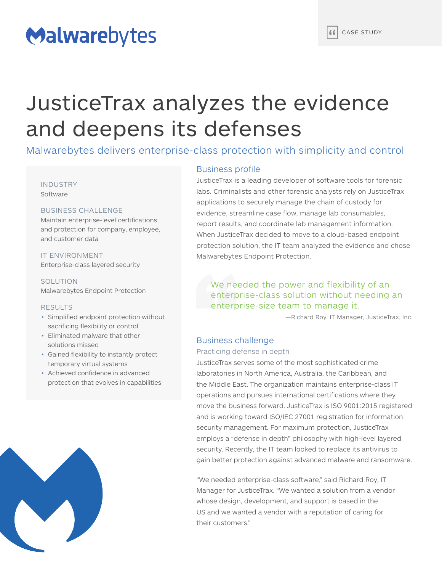# Malwarebytes

# JusticeTrax analyzes the evidence and deepens its defenses

Malwarebytes delivers enterprise-class protection with simplicity and control

#### INDUSTRY Software

#### BUSINESS CHALLENGE

Maintain enterprise-level certifications and protection for company, employee, and customer data

IT ENVIRONMENT Enterprise-class layered security

**SOLUTION** Malwarebytes Endpoint Protection

#### RESULTS

- Simplified endpoint protection without sacrificing flexibility or control
- Eliminated malware that other solutions missed
- Gained flexibility to instantly protect temporary virtual systems
- Achieved confidence in advanced protection that evolves in capabilities



### Business profile

JusticeTrax is a leading developer of software tools for forensic labs. Criminalists and other forensic analysts rely on JusticeTrax applications to securely manage the chain of custody for evidence, streamline case flow, manage lab consumables, report results, and coordinate lab management information. When JusticeTrax decided to move to a cloud-based endpoint protection solution, the IT team analyzed the evidence and chose Malwarebytes Endpoint Protection.

# We needed the power and flexibility of an enterprise-class solution without needing an enterprise-size team to manage it.

—Richard Roy, IT Manager, JusticeTrax, Inc.

## Business challenge

#### Practicing defense in depth

JusticeTrax serves some of the most sophisticated crime laboratories in North America, Australia, the Caribbean, and the Middle East. The organization maintains enterprise-class IT operations and pursues international certifications where they move the business forward. JusticeTrax is ISO 9001:2015 registered and is working toward ISO/IEC 27001 registration for information security management. For maximum protection, JusticeTrax employs a "defense in depth" philosophy with high-level layered security. Recently, the IT team looked to replace its antivirus to gain better protection against advanced malware and ransomware.

"We needed enterprise-class software," said Richard Roy, IT Manager for JusticeTrax. "We wanted a solution from a vendor whose design, development, and support is based in the US and we wanted a vendor with a reputation of caring for their customers."